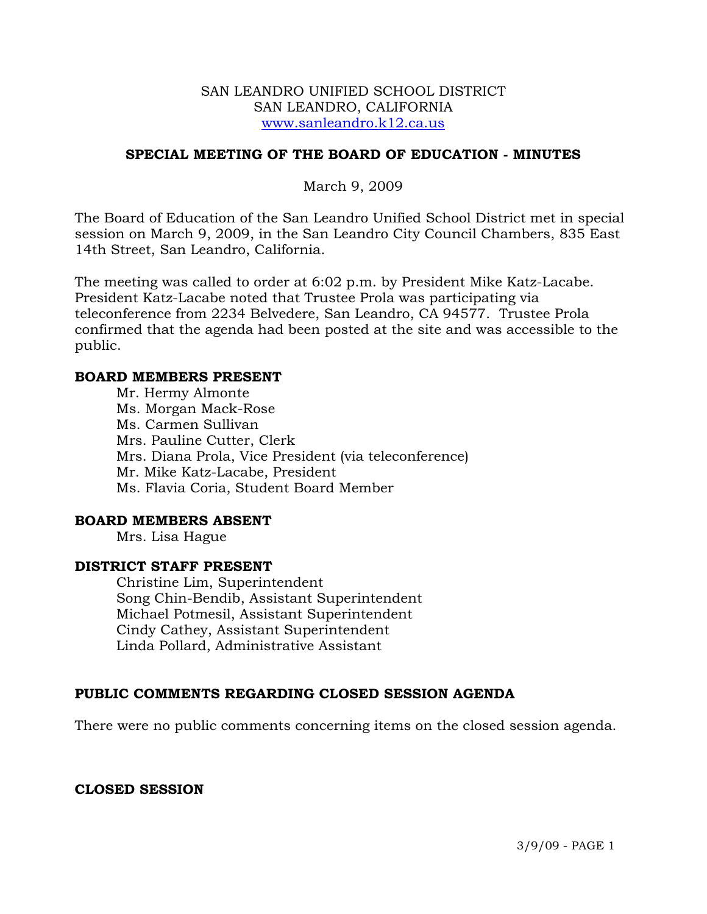#### SAN LEANDRO UNIFIED SCHOOL DISTRICT SAN LEANDRO, CALIFORNIA www.sanleandro.k12.ca.us

# **SPECIAL MEETING OF THE BOARD OF EDUCATION - MINUTES**

March 9, 2009

The Board of Education of the San Leandro Unified School District met in special session on March 9, 2009, in the San Leandro City Council Chambers, 835 East 14th Street, San Leandro, California.

The meeting was called to order at 6:02 p.m. by President Mike Katz-Lacabe. President Katz-Lacabe noted that Trustee Prola was participating via teleconference from 2234 Belvedere, San Leandro, CA 94577. Trustee Prola confirmed that the agenda had been posted at the site and was accessible to the public.

#### **BOARD MEMBERS PRESENT**

Mr. Hermy Almonte Ms. Morgan Mack-Rose Ms. Carmen Sullivan Mrs. Pauline Cutter, Clerk Mrs. Diana Prola, Vice President (via teleconference) Mr. Mike Katz-Lacabe, President Ms. Flavia Coria, Student Board Member

## **BOARD MEMBERS ABSENT**

Mrs. Lisa Hague

# **DISTRICT STAFF PRESENT**

Christine Lim, Superintendent Song Chin-Bendib, Assistant Superintendent Michael Potmesil, Assistant Superintendent Cindy Cathey, Assistant Superintendent Linda Pollard, Administrative Assistant

### **PUBLIC COMMENTS REGARDING CLOSED SESSION AGENDA**

There were no public comments concerning items on the closed session agenda.

### **CLOSED SESSION**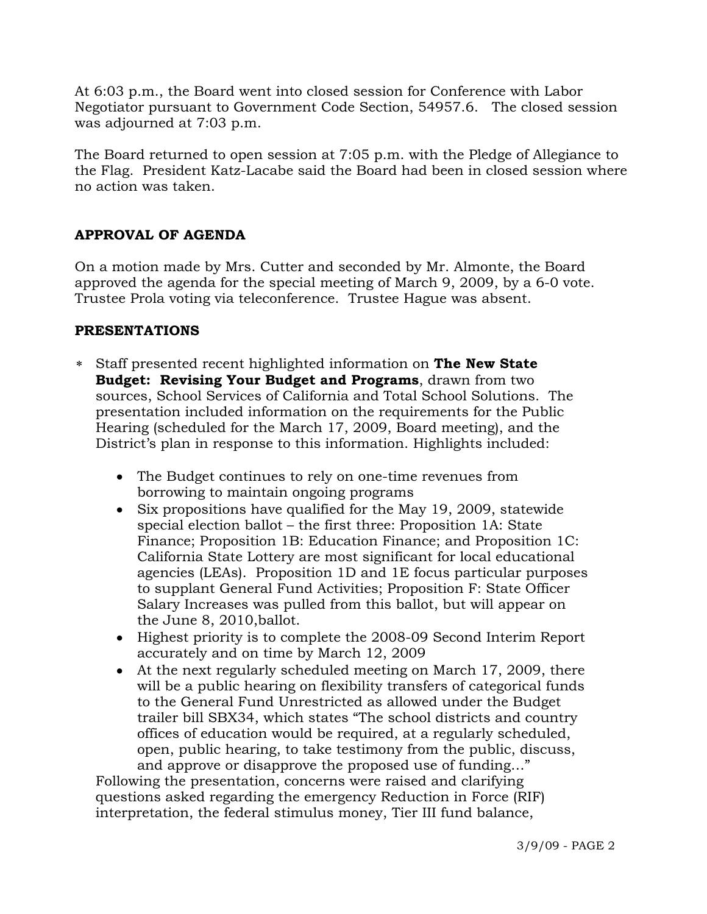At 6:03 p.m., the Board went into closed session for Conference with Labor Negotiator pursuant to Government Code Section, 54957.6. The closed session was adjourned at 7:03 p.m.

The Board returned to open session at 7:05 p.m. with the Pledge of Allegiance to the Flag. President Katz-Lacabe said the Board had been in closed session where no action was taken.

# **APPROVAL OF AGENDA**

On a motion made by Mrs. Cutter and seconded by Mr. Almonte, the Board approved the agenda for the special meeting of March 9, 2009, by a 6-0 vote. Trustee Prola voting via teleconference. Trustee Hague was absent.

# **PRESENTATIONS**

- ∗ Staff presented recent highlighted information on **The New State Budget: Revising Your Budget and Programs**, drawn from two sources, School Services of California and Total School Solutions. The presentation included information on the requirements for the Public Hearing (scheduled for the March 17, 2009, Board meeting), and the District's plan in response to this information. Highlights included:
	- The Budget continues to rely on one-time revenues from borrowing to maintain ongoing programs
	- Six propositions have qualified for the May 19, 2009, statewide special election ballot – the first three: Proposition 1A: State Finance; Proposition 1B: Education Finance; and Proposition 1C: California State Lottery are most significant for local educational agencies (LEAs). Proposition 1D and 1E focus particular purposes to supplant General Fund Activities; Proposition F: State Officer Salary Increases was pulled from this ballot, but will appear on the June 8, 2010,ballot.
	- Highest priority is to complete the 2008-09 Second Interim Report accurately and on time by March 12, 2009
	- At the next regularly scheduled meeting on March 17, 2009, there will be a public hearing on flexibility transfers of categorical funds to the General Fund Unrestricted as allowed under the Budget trailer bill SBX34, which states "The school districts and country offices of education would be required, at a regularly scheduled, open, public hearing, to take testimony from the public, discuss, and approve or disapprove the proposed use of funding…"

 Following the presentation, concerns were raised and clarifying questions asked regarding the emergency Reduction in Force (RIF) interpretation, the federal stimulus money, Tier III fund balance,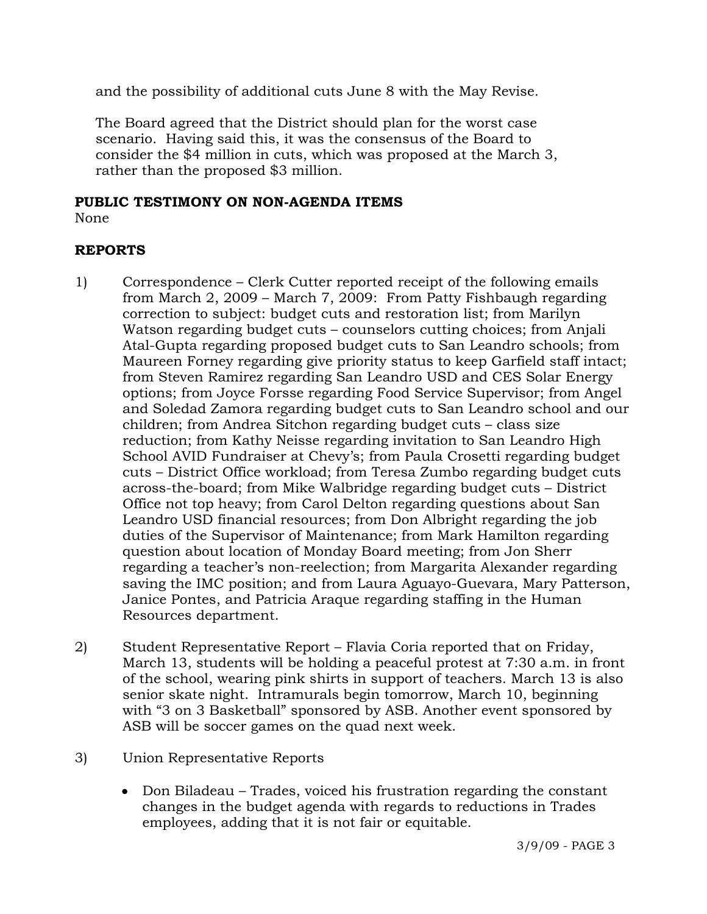and the possibility of additional cuts June 8 with the May Revise.

 The Board agreed that the District should plan for the worst case scenario. Having said this, it was the consensus of the Board to consider the \$4 million in cuts, which was proposed at the March 3, rather than the proposed \$3 million.

# **PUBLIC TESTIMONY ON NON-AGENDA ITEMS**

None

# **REPORTS**

- 1) Correspondence Clerk Cutter reported receipt of the following emails from March 2, 2009 – March 7, 2009: From Patty Fishbaugh regarding correction to subject: budget cuts and restoration list; from Marilyn Watson regarding budget cuts – counselors cutting choices; from Anjali Atal-Gupta regarding proposed budget cuts to San Leandro schools; from Maureen Forney regarding give priority status to keep Garfield staff intact; from Steven Ramirez regarding San Leandro USD and CES Solar Energy options; from Joyce Forsse regarding Food Service Supervisor; from Angel and Soledad Zamora regarding budget cuts to San Leandro school and our children; from Andrea Sitchon regarding budget cuts – class size reduction; from Kathy Neisse regarding invitation to San Leandro High School AVID Fundraiser at Chevy's; from Paula Crosetti regarding budget cuts – District Office workload; from Teresa Zumbo regarding budget cuts across-the-board; from Mike Walbridge regarding budget cuts – District Office not top heavy; from Carol Delton regarding questions about San Leandro USD financial resources; from Don Albright regarding the job duties of the Supervisor of Maintenance; from Mark Hamilton regarding question about location of Monday Board meeting; from Jon Sherr regarding a teacher's non-reelection; from Margarita Alexander regarding saving the IMC position; and from Laura Aguayo-Guevara, Mary Patterson, Janice Pontes, and Patricia Araque regarding staffing in the Human Resources department.
- 2) Student Representative Report Flavia Coria reported that on Friday, March 13, students will be holding a peaceful protest at 7:30 a.m. in front of the school, wearing pink shirts in support of teachers. March 13 is also senior skate night. Intramurals begin tomorrow, March 10, beginning with "3 on 3 Basketball" sponsored by ASB. Another event sponsored by ASB will be soccer games on the quad next week.
- 3) Union Representative Reports
	- Don Biladeau Trades, voiced his frustration regarding the constant changes in the budget agenda with regards to reductions in Trades employees, adding that it is not fair or equitable.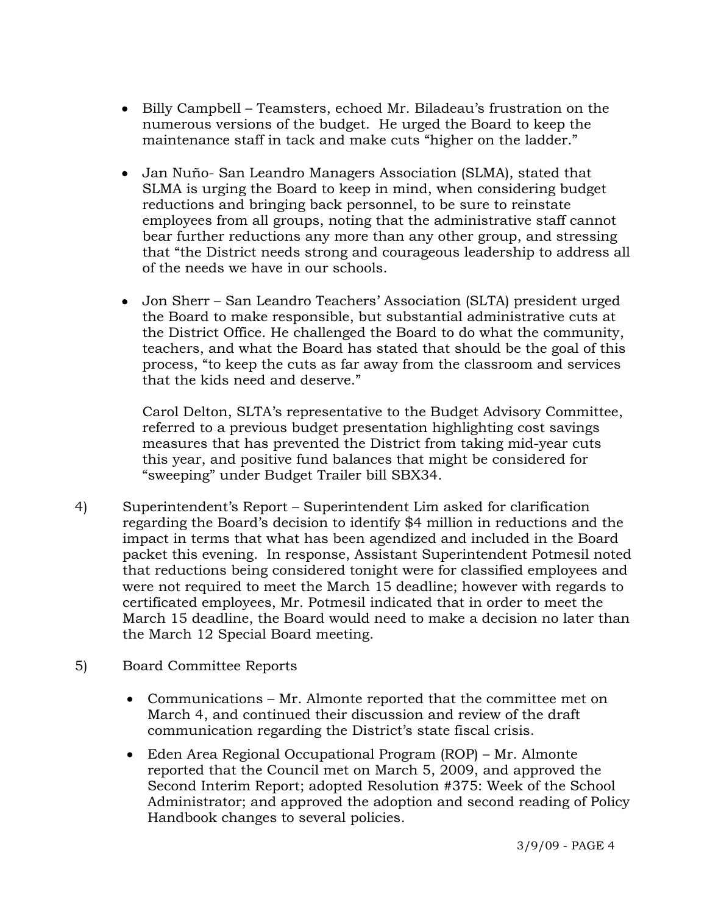- Billy Campbell Teamsters, echoed Mr. Biladeau's frustration on the numerous versions of the budget. He urged the Board to keep the maintenance staff in tack and make cuts "higher on the ladder."
- Jan Nuño- San Leandro Managers Association (SLMA), stated that SLMA is urging the Board to keep in mind, when considering budget reductions and bringing back personnel, to be sure to reinstate employees from all groups, noting that the administrative staff cannot bear further reductions any more than any other group, and stressing that "the District needs strong and courageous leadership to address all of the needs we have in our schools.
- Jon Sherr San Leandro Teachers' Association (SLTA) president urged the Board to make responsible, but substantial administrative cuts at the District Office. He challenged the Board to do what the community, teachers, and what the Board has stated that should be the goal of this process, "to keep the cuts as far away from the classroom and services that the kids need and deserve."

 Carol Delton, SLTA's representative to the Budget Advisory Committee, referred to a previous budget presentation highlighting cost savings measures that has prevented the District from taking mid-year cuts this year, and positive fund balances that might be considered for "sweeping" under Budget Trailer bill SBX34.

- 4) Superintendent's Report Superintendent Lim asked for clarification regarding the Board's decision to identify \$4 million in reductions and the impact in terms that what has been agendized and included in the Board packet this evening. In response, Assistant Superintendent Potmesil noted that reductions being considered tonight were for classified employees and were not required to meet the March 15 deadline; however with regards to certificated employees, Mr. Potmesil indicated that in order to meet the March 15 deadline, the Board would need to make a decision no later than the March 12 Special Board meeting.
- 5) Board Committee Reports
	- Communications Mr. Almonte reported that the committee met on March 4, and continued their discussion and review of the draft communication regarding the District's state fiscal crisis.
	- Eden Area Regional Occupational Program (ROP) Mr. Almonte reported that the Council met on March 5, 2009, and approved the Second Interim Report; adopted Resolution #375: Week of the School Administrator; and approved the adoption and second reading of Policy Handbook changes to several policies.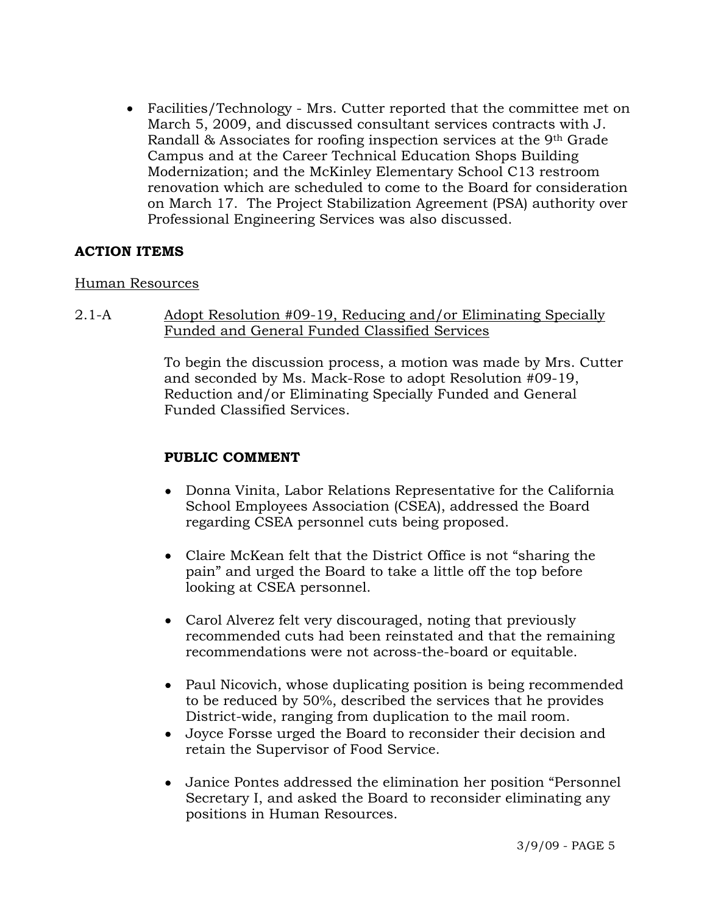• Facilities/Technology - Mrs. Cutter reported that the committee met on March 5, 2009, and discussed consultant services contracts with J. Randall & Associates for roofing inspection services at the 9th Grade Campus and at the Career Technical Education Shops Building Modernization; and the McKinley Elementary School C13 restroom renovation which are scheduled to come to the Board for consideration on March 17. The Project Stabilization Agreement (PSA) authority over Professional Engineering Services was also discussed.

## **ACTION ITEMS**

### Human Resources

2.1-A Adopt Resolution #09-19, Reducing and/or Eliminating Specially Funded and General Funded Classified Services

> To begin the discussion process, a motion was made by Mrs. Cutter and seconded by Ms. Mack-Rose to adopt Resolution #09-19, Reduction and/or Eliminating Specially Funded and General Funded Classified Services.

# **PUBLIC COMMENT**

- Donna Vinita, Labor Relations Representative for the California School Employees Association (CSEA), addressed the Board regarding CSEA personnel cuts being proposed.
- Claire McKean felt that the District Office is not "sharing the pain" and urged the Board to take a little off the top before looking at CSEA personnel.
- Carol Alverez felt very discouraged, noting that previously recommended cuts had been reinstated and that the remaining recommendations were not across-the-board or equitable.
- Paul Nicovich, whose duplicating position is being recommended to be reduced by 50%, described the services that he provides District-wide, ranging from duplication to the mail room.
- Joyce Forsse urged the Board to reconsider their decision and retain the Supervisor of Food Service.
- Janice Pontes addressed the elimination her position "Personnel Secretary I, and asked the Board to reconsider eliminating any positions in Human Resources.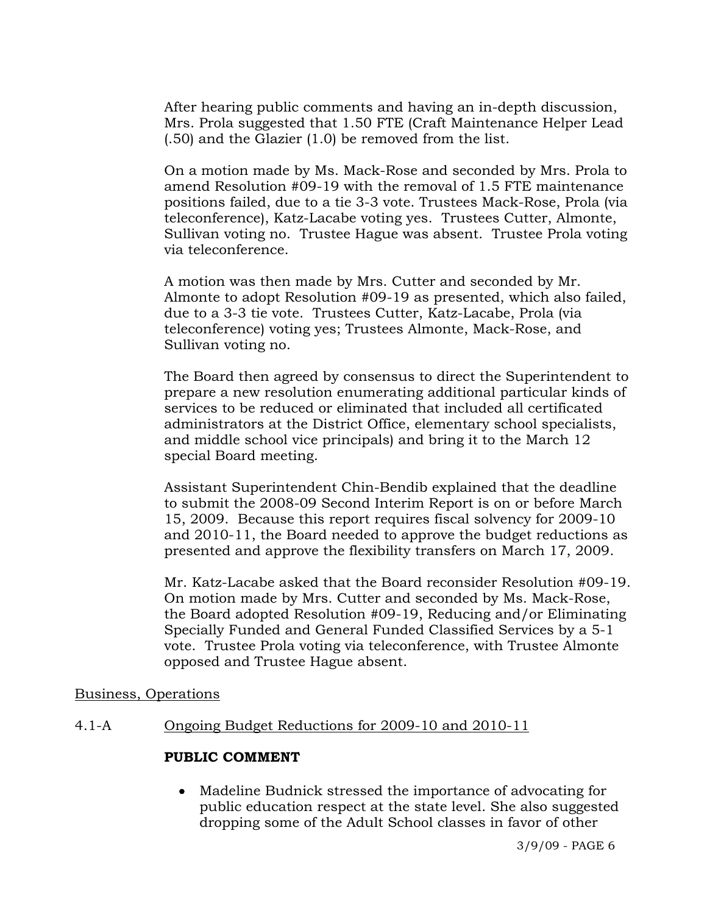After hearing public comments and having an in-depth discussion, Mrs. Prola suggested that 1.50 FTE (Craft Maintenance Helper Lead (.50) and the Glazier (1.0) be removed from the list.

On a motion made by Ms. Mack-Rose and seconded by Mrs. Prola to amend Resolution #09-19 with the removal of 1.5 FTE maintenance positions failed, due to a tie 3-3 vote. Trustees Mack-Rose, Prola (via teleconference), Katz-Lacabe voting yes. Trustees Cutter, Almonte, Sullivan voting no. Trustee Hague was absent. Trustee Prola voting via teleconference.

A motion was then made by Mrs. Cutter and seconded by Mr. Almonte to adopt Resolution #09-19 as presented, which also failed, due to a 3-3 tie vote. Trustees Cutter, Katz-Lacabe, Prola (via teleconference) voting yes; Trustees Almonte, Mack-Rose, and Sullivan voting no.

The Board then agreed by consensus to direct the Superintendent to prepare a new resolution enumerating additional particular kinds of services to be reduced or eliminated that included all certificated administrators at the District Office, elementary school specialists, and middle school vice principals) and bring it to the March 12 special Board meeting.

Assistant Superintendent Chin-Bendib explained that the deadline to submit the 2008-09 Second Interim Report is on or before March 15, 2009. Because this report requires fiscal solvency for 2009-10 and 2010-11, the Board needed to approve the budget reductions as presented and approve the flexibility transfers on March 17, 2009.

Mr. Katz-Lacabe asked that the Board reconsider Resolution #09-19. On motion made by Mrs. Cutter and seconded by Ms. Mack-Rose, the Board adopted Resolution #09-19, Reducing and/or Eliminating Specially Funded and General Funded Classified Services by a 5-1 vote. Trustee Prola voting via teleconference, with Trustee Almonte opposed and Trustee Hague absent.

### Business, Operations

# 4.1-A Ongoing Budget Reductions for 2009-10 and 2010-11

# **PUBLIC COMMENT**

• Madeline Budnick stressed the importance of advocating for public education respect at the state level. She also suggested dropping some of the Adult School classes in favor of other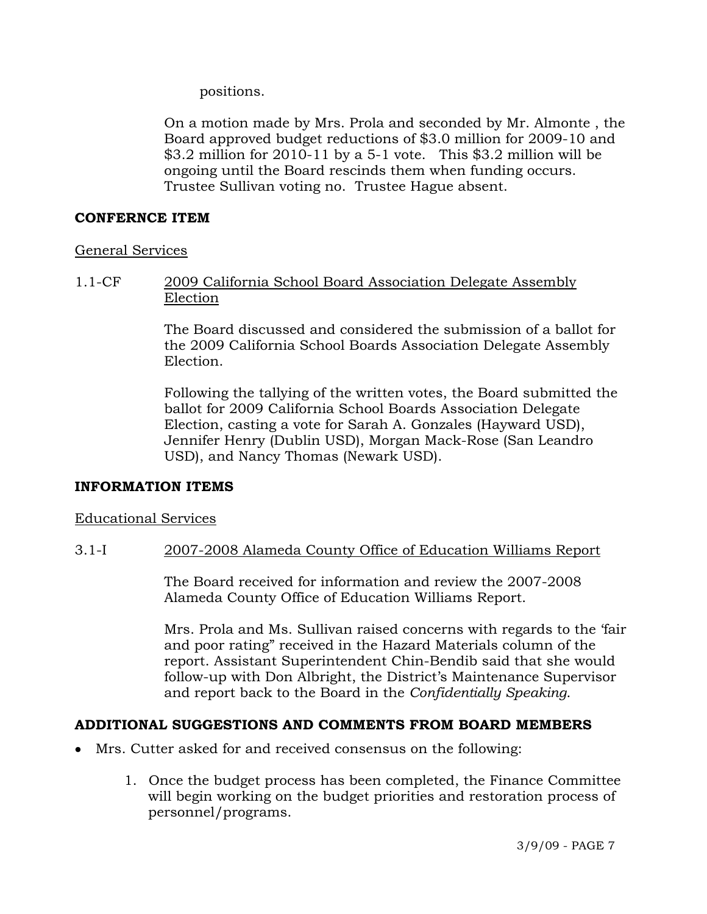positions.

On a motion made by Mrs. Prola and seconded by Mr. Almonte , the Board approved budget reductions of \$3.0 million for 2009-10 and \$3.2 million for 2010-11 by a 5-1 vote. This \$3.2 million will be ongoing until the Board rescinds them when funding occurs. Trustee Sullivan voting no. Trustee Hague absent.

## **CONFERNCE ITEM**

## General Services

# 1.1-CF 2009 California School Board Association Delegate Assembly Election

The Board discussed and considered the submission of a ballot for the 2009 California School Boards Association Delegate Assembly Election.

Following the tallying of the written votes, the Board submitted the ballot for 2009 California School Boards Association Delegate Election, casting a vote for Sarah A. Gonzales (Hayward USD), Jennifer Henry (Dublin USD), Morgan Mack-Rose (San Leandro USD), and Nancy Thomas (Newark USD).

# **INFORMATION ITEMS**

### Educational Services

# 3.1-I 2007-2008 Alameda County Office of Education Williams Report

The Board received for information and review the 2007-2008 Alameda County Office of Education Williams Report.

Mrs. Prola and Ms. Sullivan raised concerns with regards to the 'fair and poor rating" received in the Hazard Materials column of the report. Assistant Superintendent Chin-Bendib said that she would follow-up with Don Albright, the District's Maintenance Supervisor and report back to the Board in the *Confidentially Speaking*.

# **ADDITIONAL SUGGESTIONS AND COMMENTS FROM BOARD MEMBERS**

- Mrs. Cutter asked for and received consensus on the following:
	- 1. Once the budget process has been completed, the Finance Committee will begin working on the budget priorities and restoration process of personnel/programs.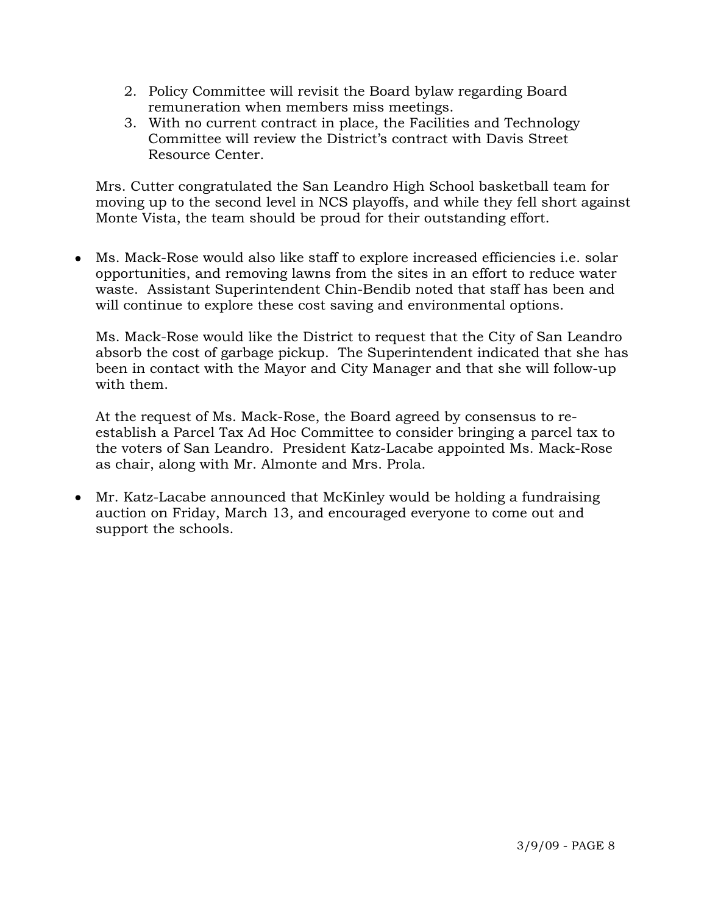- 2. Policy Committee will revisit the Board bylaw regarding Board remuneration when members miss meetings.
- 3. With no current contract in place, the Facilities and Technology Committee will review the District's contract with Davis Street Resource Center.

 Mrs. Cutter congratulated the San Leandro High School basketball team for moving up to the second level in NCS playoffs, and while they fell short against Monte Vista, the team should be proud for their outstanding effort.

• Ms. Mack-Rose would also like staff to explore increased efficiencies i.e. solar opportunities, and removing lawns from the sites in an effort to reduce water waste. Assistant Superintendent Chin-Bendib noted that staff has been and will continue to explore these cost saving and environmental options.

Ms. Mack-Rose would like the District to request that the City of San Leandro absorb the cost of garbage pickup. The Superintendent indicated that she has been in contact with the Mayor and City Manager and that she will follow-up with them.

At the request of Ms. Mack-Rose, the Board agreed by consensus to reestablish a Parcel Tax Ad Hoc Committee to consider bringing a parcel tax to the voters of San Leandro. President Katz-Lacabe appointed Ms. Mack-Rose as chair, along with Mr. Almonte and Mrs. Prola.

• Mr. Katz-Lacabe announced that McKinley would be holding a fundraising auction on Friday, March 13, and encouraged everyone to come out and support the schools.